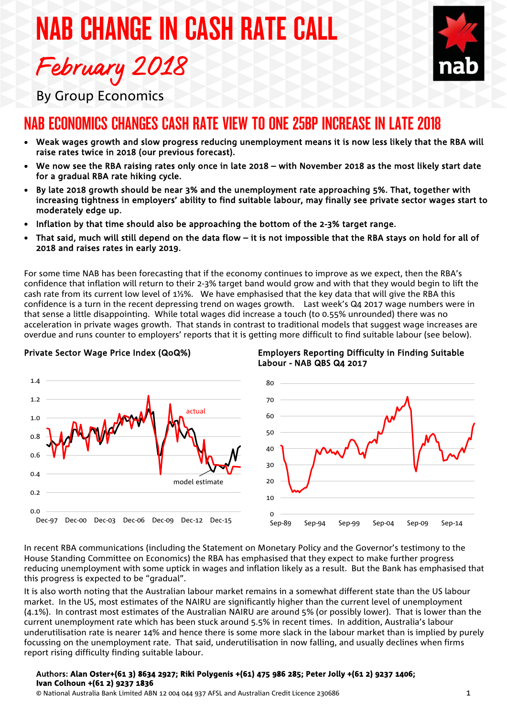# NAB CHANGE IN CASH RATE CALL February 2018



By Group Economics

# NAB ECONOMICS CHANGES CASH RATE VIEW TO ONE 25BP INCREASE IN LATE 2018

- Weak wages growth and slow progress reducing unemployment means it is now less likely that the RBA will raise rates twice in 2018 (our previous forecast).
- We now see the RBA raising rates only once in late 2018 with November 2018 as the most likely start date for a gradual RBA rate hiking cycle.
- By late 2018 growth should be near 3% and the unemployment rate approaching 5%. That, together with increasing tightness in employers' ability to find suitable labour, may finally see private sector wages start to moderately edge up.
- Inflation by that time should also be approaching the bottom of the 2-3% target range.
- That said, much will still depend on the data flow it is not impossible that the RBA stays on hold for all of 2018 and raises rates in early 2019.

For some time NAB has been forecasting that if the economy continues to improve as we expect, then the RBA's confidence that inflation will return to their 2-3% target band would grow and with that they would begin to lift the cash rate from its current low level of 1½%. We have emphasised that the key data that will give the RBA this confidence is a turn in the recent depressing trend on wages growth. Last week's Q4 2017 wage numbers were in that sense a little disappointing. While total wages did increase a touch (to 0.55% unrounded) there was no acceleration in private wages growth. That stands in contrast to traditional models that suggest wage increases are overdue and runs counter to employers' reports that it is getting more difficult to find suitable labour (see below).



#### Private Sector Wage Price Index (QoQ%)





In recent RBA communications (including the Statement on Monetary Policy and the Governor's testimony to the House Standing Committee on Economics) the RBA has emphasised that they expect to make further progress reducing unemployment with some uptick in wages and inflation likely as a result. But the Bank has emphasised that this progress is expected to be "gradual".

It is also worth noting that the Australian labour market remains in a somewhat different state than the US labour market. In the US, most estimates of the NAIRU are significantly higher than the current level of unemployment (4.1%). In contrast most estimates of the Australian NAIRU are around 5% (or possibly lower). That is lower than the current unemployment rate which has been stuck around 5.5% in recent times. In addition, Australia's labour underutilisation rate is nearer 14% and hence there is some more slack in the labour market than is implied by purely focussing on the unemployment rate. That said, underutilisation in now falling, and usually declines when firms report rising difficulty finding suitable labour.

#### Authors: **Alan Oster+(61 3) 8634 2927; Riki Polygenis +(61) 475 986 285; Peter Jolly +(61 2) 9237 1406; Ivan Colhoun +(61 2) 9237 1836**

© National Australia Bank Limited ABN 12 004 044 937 AFSL and Australian Credit Licence 230686 1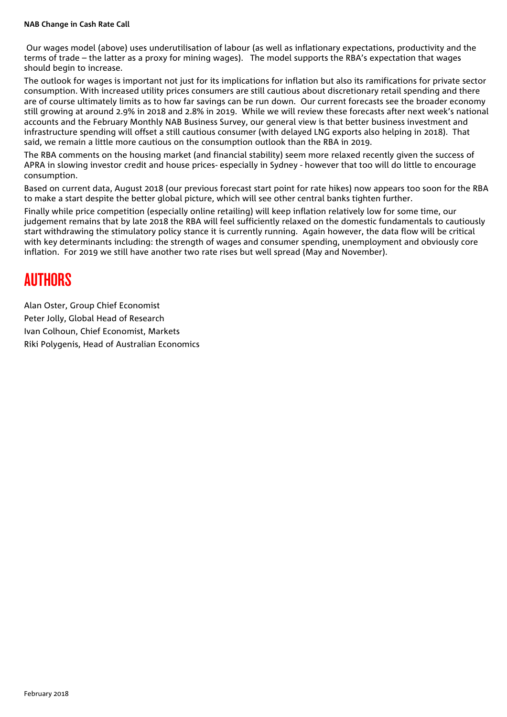#### **NAB Change in Cash Rate Call**

Our wages model (above) uses underutilisation of labour (as well as inflationary expectations, productivity and the terms of trade – the latter as a proxy for mining wages). The model supports the RBA's expectation that wages should begin to increase.

The outlook for wages is important not just for its implications for inflation but also its ramifications for private sector consumption. With increased utility prices consumers are still cautious about discretionary retail spending and there are of course ultimately limits as to how far savings can be run down. Our current forecasts see the broader economy still growing at around 2.9% in 2018 and 2.8% in 2019. While we will review these forecasts after next week's national accounts and the February Monthly NAB Business Survey, our general view is that better business investment and infrastructure spending will offset a still cautious consumer (with delayed LNG exports also helping in 2018). That said, we remain a little more cautious on the consumption outlook than the RBA in 2019.

The RBA comments on the housing market (and financial stability) seem more relaxed recently given the success of APRA in slowing investor credit and house prices- especially in Sydney - however that too will do little to encourage consumption.

Based on current data, August 2018 (our previous forecast start point for rate hikes) now appears too soon for the RBA to make a start despite the better global picture, which will see other central banks tighten further.

Finally while price competition (especially online retailing) will keep inflation relatively low for some time, our judgement remains that by late 2018 the RBA will feel sufficiently relaxed on the domestic fundamentals to cautiously start withdrawing the stimulatory policy stance it is currently running. Again however, the data flow will be critical with key determinants including: the strength of wages and consumer spending, unemployment and obviously core inflation. For 2019 we still have another two rate rises but well spread (May and November).

## AUTHORS

Alan Oster, Group Chief Economist Peter Jolly, Global Head of Research Ivan Colhoun, Chief Economist, Markets Riki Polygenis, Head of Australian Economics